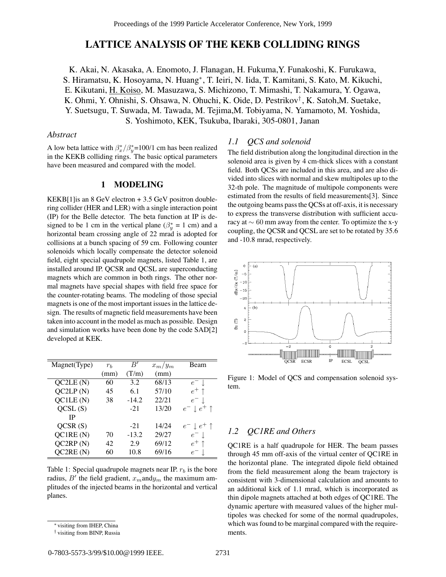# **LATTICE ANALYSIS OF THE KEKB COLLIDING RINGS**

K. Akai, N. Akasaka, A. Enomoto, J. Flanagan, H. Fukuma,Y. Funakoshi, K. Furukawa, S. Hiramatsu, K. Hosoyama, N. Huang∗, T. Ieiri, N. Iida, T. Kamitani, S. Kato, M. Kikuchi, E. Kikutani, H. Koiso, M. Masuzawa, S. Michizono, T. Mimashi, T. Nakamura, Y. Ogawa, K. Ohmi, Y. Ohnishi, S. Ohsawa, N. Ohuchi, K. Oide, D. Pestrikov† , K. Satoh,M. Suetake, Y. Suetsugu, T. Suwada, M. Tawada, M. Tejima,M. Tobiyama, N. Yamamoto, M. Yoshida, S. Yoshimoto, KEK, Tsukuba, Ibaraki, 305-0801, Janan

## *Abstract*

A low beta lattice with  $\frac{\beta_x}{\beta_y}$ =100/1 cm has been realized in the KEKB colliding rings. The basic optical parameters have been measured and compared with the model.

### **1 MODELING**

KEKB[1]is an 8 GeV electron + 3.5 GeV positron doublering collider (HER and LER) with a single interaction point (IP) for the Belle detector. The beta function at IP is designed to be 1 cm in the vertical plane ( $\beta_y^* = 1$  cm) and a horizontal beam crossing angle of 22 mrad is adopted for collisions at a bunch spacing of 59 cm. Following counter solenoids which locally compensate the detector solenoid field, eight special quadrupole magnets, listed Table 1, are installed around IP. QCSR and QCSL are superconducting magnets which are common in both rings. The other normal magnets have special shapes with field free space for the counter-rotating beams. The modeling of those special magnets is one of the most important issues in the lattice design. The results of magnetic field measurements have been taken into account in the model as much as possible. Design and simulation works have been done by the code SAD[2] developed at KEK.

| Magnet(Type) | $r_{h}$ | B'      | $x_m/y_m$ | Beam                          |
|--------------|---------|---------|-----------|-------------------------------|
|              | (mm)    | (T/m)   | (mm)      |                               |
| QC2LE(N)     | 60      | 3.2     | 68/13     | $e^-$ 1.                      |
| QC2LP(N)     | 45      | 6.1     | 57/10     | $e^+$ 1                       |
| QC1LE(N)     | 38      | $-14.2$ | 22/21     | $e^-$                         |
| QCSL(S)      |         | $-21$   | 13/20     | $e^- \downarrow e^+ \uparrow$ |
| IP           |         |         |           |                               |
| QCSR(S)      |         | $-21$   | 14/24     | $e^- \downarrow e^+ \uparrow$ |
| QC1RE(N)     | 70      | $-13.2$ | 29/27     | $e^-$ .                       |
| QC2RP(N)     | 42      | 2.9     | 69/12     | $e^+$ 1                       |
| QC2RE(N)     | 60      | 10.8    | 69/16     | $e^-$ 1.                      |

Table 1: Special quadrupole magnets near IP.  $r_b$  is the bore radius, B' the field gradient,  $x_m$  and  $y_m$  the maximum amplitudes of the injected beams in the horizontal and vertical planes.

## *1.1 QCS and solenoid*

The field distribution along the longitudinal direction in the solenoid area is given by 4 cm-thick slices with a constant field. Both QCSs are included in this area, and are also divided into slices with normal and skew multipoles up to the 32-th pole. The magnitude of multipole components were estimated from the results of field measurements[3]. Since the outgoing beams pass the QCSs at off-axis, it is necessary to express the transverse distribution with sufficient accuracy at ∼ 60 mm away from the center. To optimize the x-y coupling, the QCSR and QCSL are set to be rotated by 35.6 and -10.8 mrad, respectively.



Figure 1: Model of QCS and compensation solenoid system.

# *1.2 QC1RE and Others*

QC1RE is a half quadrupole for HER. The beam passes through 45 mm off-axis of the virtual center of QC1RE in the horizontal plane. The integrated dipole field obtained from the field measurement along the beam trajectory is consistent with 3-dimensional calculation and amounts to an additional kick of 1.1 mrad, which is incorporated as thin dipole magnets attached at both edges of QC1RE. The dynamic aperture with measured values of the higher multipoles was checked for some of the normal quadrupoles, which was found to be marginal compared with the requirements.

<sup>∗</sup> visiting from IHEP, China

<sup>†</sup> visiting from BINP, Russia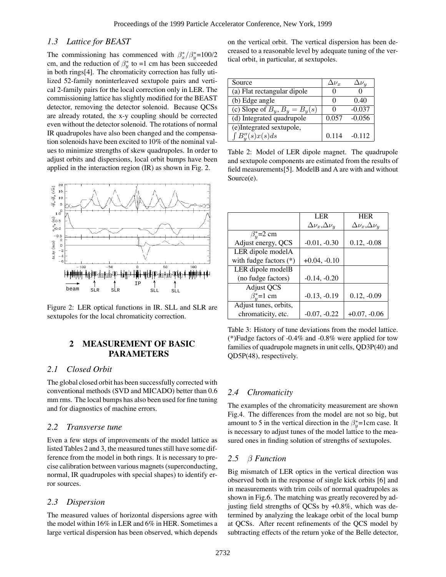# *1.3 Lattice for BEAST*

The commissioning has commenced with  $\frac{\beta_x}{\beta_y}$ =100/2 cm, and the reduction of  $\beta_y^*$  to =1 cm has been succeeded in both rings[4]. The chromaticity correction has fully utilized 52-family noninterleaved sextupole pairs and vertical 2-family pairs for the local correction only in LER. The commissioning lattice has slightly modified for the BEAST detector, removing the detector solenoid. Because QCSs are already rotated, the x-y coupling should be corrected even without the detector solenoid. The rotations of normal IR quadrupoles have also been changed and the compensation solenoids have been excited to 10% of the nominal values to minimize strengths of skew quadrupoles. In order to adjust orbits and dispersions, local orbit bumps have been applied in the interaction region (IR) as shown in Fig. 2.



Figure 2: LER optical functions in IR. SLL and SLR are sextupoles for the local chromaticity correction.

# **2 MEASUREMENT OF BASIC PARAMETERS**

# *2.1 Closed Orbit*

The global closed orbit has been successfully corrected with conventional methods (SVD and MICADO) better than 0.6 mm rms. The local bumps has also been used for fine tuning and for diagnostics of machine errors.

### *2.2 Transverse tune*

Even a few steps of improvements of the model lattice as listed Tables 2 and 3, the measured tunes still have some difference from the model in both rings. It is necessary to precise calibration between various magnets (superconducting, normal, IR quadrupoles with special shapes) to identify error sources.

### *2.3 Dispersion*

The measured values of horizontal dispersions agree with the model within 16% in LER and 6% in HER. Sometimes a large vertical dispersion has been observed, which depends

on the vertical orbit. The vertical dispersion has been decreased to a reasonable level by adequate tuning of the vertical orbit, in particular, at sextupoles.

| Source                              | $\Delta\nu_{r}$ | $\Delta \nu_u$ |
|-------------------------------------|-----------------|----------------|
| (a) Flat rectangular dipole         |                 |                |
| (b) Edge angle                      |                 | 0.40           |
| (c) Slope of $B_y$ , $B_y = B_y(s)$ |                 | $-0.037$       |
| (d) Integrated quadrupole           | 0.057           | $-0.056$       |
| (e)Integrated sextupole,            |                 |                |
| $B''_u(s)x(s)ds$                    | 0.114           | $-0.112$       |

Table 2: Model of LER dipole magnet. The quadrupole and sextupole components are estimated from the results of field measurements[5]. ModelB and A are with and without Source(e).

|                          | <b>LER</b>                   | <b>HER</b>                   |
|--------------------------|------------------------------|------------------------------|
|                          | $\Delta \nu_x, \Delta \nu_y$ | $\Delta \nu_x, \Delta \nu_y$ |
| $\beta_u^*$ =2 cm        |                              |                              |
| Adjust energy, QCS       | $-0.01, -0.30$               | $0.12, -0.08$                |
| LER dipole modelA        |                              |                              |
| with fudge factors $(*)$ | $+0.04, -0.10$               |                              |
| LER dipole modelB        |                              |                              |
| (no fudge factors)       | $-0.14, -0.20$               |                              |
| <b>Adjust QCS</b>        |                              |                              |
| $\beta_n^*$ =1 cm        | $-0.13, -0.19$               | $0.12, -0.09$                |
| Adjust tunes, orbits,    |                              |                              |
| chromaticity, etc.       | $-0.07, -0.22$               | $+0.07, -0.06$               |
|                          |                              |                              |

Table 3: History of tune deviations from the model lattice. (\*)Fudge factors of -0.4% and -0.8% were applied for tow families of quadrupole magnets in unit cells, QD3P(40) and QD5P(48), respectively.

# *2.4 Chromaticity*

The examples of the chromaticity measurement are shown Fig.4. The differences from the model are not so big, but amount to 5 in the vertical direction in the  $\beta_y^*$ =1cm case. It is necessary to adjust tunes of the model lattice to the measured ones in finding solution of strengths of sextupoles.

## *2.5* β *Function*

Big mismatch of LER optics in the vertical direction was observed both in the response of single kick orbits [6] and in measurements with trim coils of normal quadrupoles as shown in Fig.6. The matching was greatly recovered by adjusting field strengths of QCSs by  $+0.8\%$ , which was determined by analyzing the leakage orbit of the local bump at QCSs. After recent refinements of the QCS model by subtracting effects of the return yoke of the Belle detector,